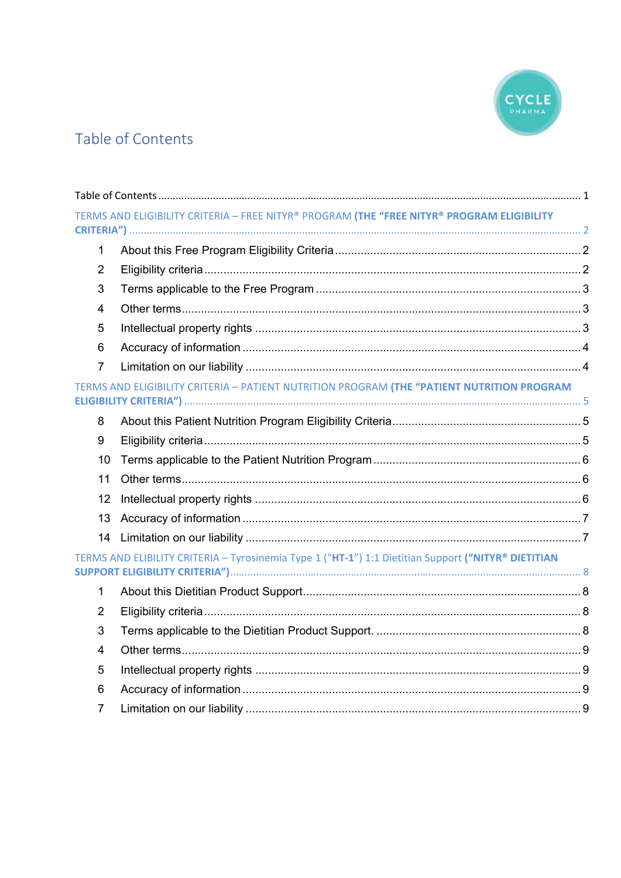

# <span id="page-0-0"></span>Table of Contents

|                | TERMS AND ELIGIBILITY CRITERIA - FREE NITYR® PROGRAM (THE "FREE NITYR® PROGRAM ELIGIBILITY          |  |
|----------------|-----------------------------------------------------------------------------------------------------|--|
|                |                                                                                                     |  |
| $\mathbf{1}$   |                                                                                                     |  |
| $\overline{2}$ |                                                                                                     |  |
| 3              |                                                                                                     |  |
| 4              |                                                                                                     |  |
| 5              |                                                                                                     |  |
| 6              |                                                                                                     |  |
| $\overline{7}$ |                                                                                                     |  |
|                | TERMS AND ELIGIBILITY CRITERIA - PATIENT NUTRITION PROGRAM (THE "PATIENT NUTRITION PROGRAM          |  |
| 8              |                                                                                                     |  |
| 9              |                                                                                                     |  |
| 10             |                                                                                                     |  |
| 11             |                                                                                                     |  |
| 12             |                                                                                                     |  |
| 13             |                                                                                                     |  |
| 14             |                                                                                                     |  |
|                | TERMS AND ELIBILITY CRITERIA - Tyrosinemia Type 1 ("HT-1") 1:1 Dietitian Support ("NITYR® DIETITIAN |  |
| $\mathbf 1$    |                                                                                                     |  |
| $\overline{2}$ |                                                                                                     |  |
| 3              |                                                                                                     |  |
| $\overline{4}$ |                                                                                                     |  |
| 5              |                                                                                                     |  |
| 6              |                                                                                                     |  |
| 7              |                                                                                                     |  |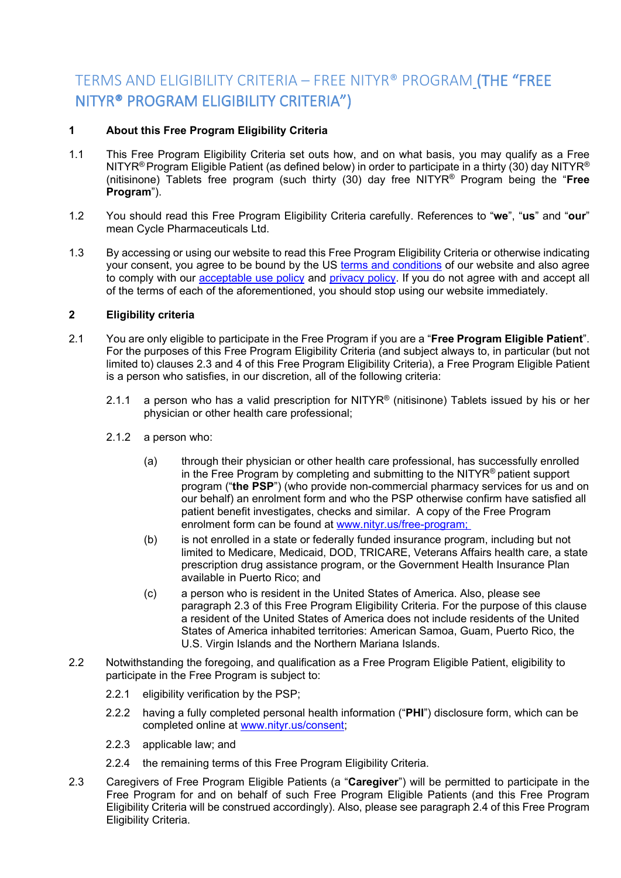# <span id="page-1-0"></span>TERMS AND ELIGIBILITY CRITERIA – FREE NITYR® PROGRAM (THE "FREE NITYR® PROGRAM ELIGIBILITY CRITERIA")

# <span id="page-1-1"></span>**1 About this Free Program Eligibility Criteria**

- 1.1 This Free Program Eligibility Criteria set outs how, and on what basis, you may qualify as a Free NITYR® Program Eligible Patient (as defined below) in order to participate in a thirty (30) day NITYR® (nitisinone) Tablets free program (such thirty (30) day free NITYR® Program being the "**Free Program**").
- 1.2 You should read this Free Program Eligibility Criteria carefully. References to "**we**", "**us**" and "**our**" mean Cycle Pharmaceuticals Ltd.
- 1.3 By accessing or using our website to read this Free Program Eligibility Criteria or otherwise indicating your consent, you agree to be bound by the US [terms and conditions](https://www.cyclepharma/policies) of our website and also agree to comply with our [acceptable use policy](https://www.cyclepharma/policies) and [privacy policy.](https://www.cyclepharma/policies) If you do not agree with and accept all of the terms of each of the aforementioned, you should stop using our website immediately.

# <span id="page-1-2"></span>**2 Eligibility criteria**

- 2.1 You are only eligible to participate in the Free Program if you are a "**Free Program Eligible Patient**". For the purposes of this Free Program Eligibility Criteria (and subject always to, in particular (but not limited to) clauses 2.3 and 4 of this Free Program Eligibility Criteria), a Free Program Eligible Patient is a person who satisfies, in our discretion, all of the following criteria:
	- 2.1.1 a person who has a valid prescription for NITYR<sup>®</sup> (nitisinone) Tablets issued by his or her physician or other health care professional;
	- 2.1.2 a person who:
		- (a) through their physician or other health care professional, has successfully enrolled in the Free Program by completing and submitting to the NITYR® patient support program ("**the PSP**") (who provide non-commercial pharmacy services for us and on our behalf) an enrolment form and who the PSP otherwise confirm have satisfied all patient benefit investigates, checks and similar. A copy of the Free Program enrolment form can be found at [www.nityr.us/free-program;](http://www.nityr.us/free-program)
		- (b) is not enrolled in a state or federally funded insurance program, including but not limited to Medicare, Medicaid, DOD, TRICARE, Veterans Affairs health care, a state prescription drug assistance program, or the Government Health Insurance Plan available in Puerto Rico; and
		- (c) a person who is resident in the United States of America. Also, please see paragraph 2.3 of this Free Program Eligibility Criteria. For the purpose of this clause a resident of the United States of America does not include residents of the United States of America inhabited territories: American Samoa, Guam, Puerto Rico, the U.S. Virgin Islands and the Northern Mariana Islands.
- 2.2 Notwithstanding the foregoing, and qualification as a Free Program Eligible Patient, eligibility to participate in the Free Program is subject to:
	- 2.2.1 eligibility verification by the PSP;
	- 2.2.2 having a fully completed personal health information ("**PHI**") disclosure form, which can be completed online at [www.nityr.us/consent;](http://www.nityr.us/consent)
	- 2.2.3 applicable law; and
	- 2.2.4 the remaining terms of this Free Program Eligibility Criteria.
- 2.3 Caregivers of Free Program Eligible Patients (a "**Caregiver**") will be permitted to participate in the Free Program for and on behalf of such Free Program Eligible Patients (and this Free Program Eligibility Criteria will be construed accordingly). Also, please see paragraph 2.4 of this Free Program Eligibility Criteria.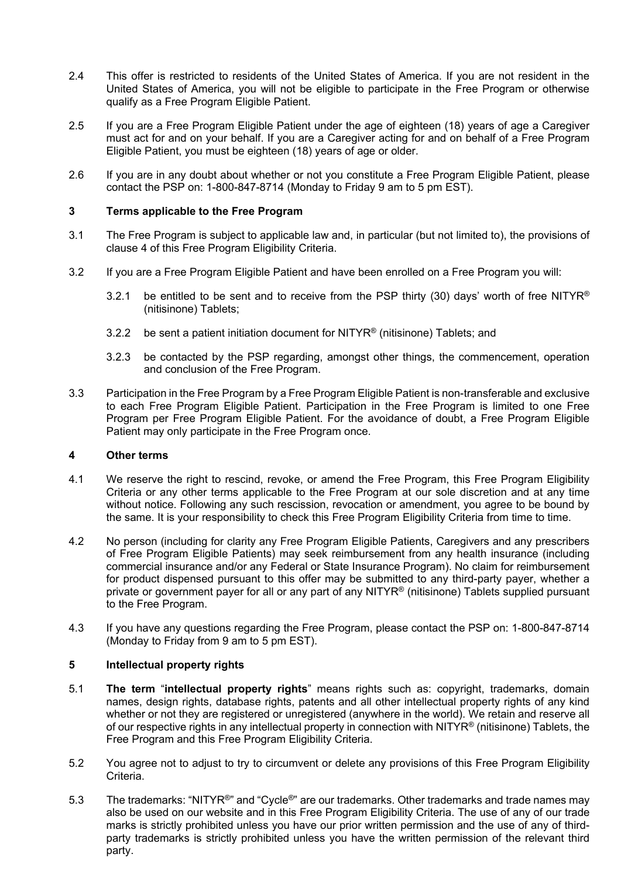- 2.4 This offer is restricted to residents of the United States of America. If you are not resident in the United States of America, you will not be eligible to participate in the Free Program or otherwise qualify as a Free Program Eligible Patient.
- 2.5 If you are a Free Program Eligible Patient under the age of eighteen (18) years of age a Caregiver must act for and on your behalf. If you are a Caregiver acting for and on behalf of a Free Program Eligible Patient, you must be eighteen (18) years of age or older.
- 2.6 If you are in any doubt about whether or not you constitute a Free Program Eligible Patient, please contact the PSP on: 1-800-847-8714 (Monday to Friday 9 am to 5 pm EST).

#### <span id="page-2-0"></span>**3 Terms applicable to the Free Program**

- 3.1 The Free Program is subject to applicable law and, in particular (but not limited to), the provisions of clause 4 of this Free Program Eligibility Criteria.
- 3.2 If you are a Free Program Eligible Patient and have been enrolled on a Free Program you will:
	- 3.2.1 be entitled to be sent and to receive from the PSP thirty (30) days' worth of free NITYR® (nitisinone) Tablets;
	- 3.2.2 be sent a patient initiation document for NITYR<sup>®</sup> (nitisinone) Tablets; and
	- 3.2.3 be contacted by the PSP regarding, amongst other things, the commencement, operation and conclusion of the Free Program.
- 3.3 Participation in the Free Program by a Free Program Eligible Patient is non-transferable and exclusive to each Free Program Eligible Patient. Participation in the Free Program is limited to one Free Program per Free Program Eligible Patient. For the avoidance of doubt, a Free Program Eligible Patient may only participate in the Free Program once.

#### <span id="page-2-1"></span>**4 Other terms**

- 4.1 We reserve the right to rescind, revoke, or amend the Free Program, this Free Program Eligibility Criteria or any other terms applicable to the Free Program at our sole discretion and at any time without notice. Following any such rescission, revocation or amendment, you agree to be bound by the same. It is your responsibility to check this Free Program Eligibility Criteria from time to time.
- 4.2 No person (including for clarity any Free Program Eligible Patients, Caregivers and any prescribers of Free Program Eligible Patients) may seek reimbursement from any health insurance (including commercial insurance and/or any Federal or State Insurance Program). No claim for reimbursement for product dispensed pursuant to this offer may be submitted to any third-party payer, whether a private or government payer for all or any part of any NITYR® (nitisinone) Tablets supplied pursuant to the Free Program.
- 4.3 If you have any questions regarding the Free Program, please contact the PSP on: 1-800-847-8714 (Monday to Friday from 9 am to 5 pm EST).

# <span id="page-2-2"></span>**5 Intellectual property rights**

- 5.1 **The term** "**intellectual property rights**" means rights such as: copyright, trademarks, domain names, design rights, database rights, patents and all other intellectual property rights of any kind whether or not they are registered or unregistered (anywhere in the world). We retain and reserve all of our respective rights in any intellectual property in connection with NITYR® (nitisinone) Tablets, the Free Program and this Free Program Eligibility Criteria.
- 5.2 You agree not to adjust to try to circumvent or delete any provisions of this Free Program Eligibility Criteria.
- 5.3 The trademarks: "NITYR<sup>®</sup>" and "Cycle<sup>®</sup>" are our trademarks. Other trademarks and trade names may also be used on our website and in this Free Program Eligibility Criteria. The use of any of our trade marks is strictly prohibited unless you have our prior written permission and the use of any of thirdparty trademarks is strictly prohibited unless you have the written permission of the relevant third party.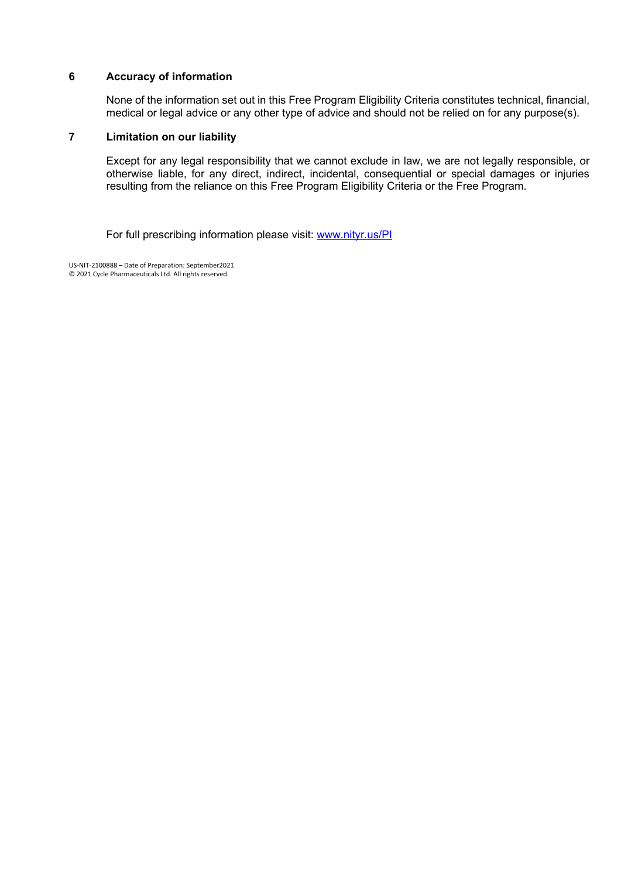#### <span id="page-3-0"></span>**6 Accuracy of information**

None of the information set out in this Free Program Eligibility Criteria constitutes technical, financial, medical or legal advice or any other type of advice and should not be relied on for any purpose(s).

# <span id="page-3-1"></span>**7 Limitation on our liability**

Except for any legal responsibility that we cannot exclude in law, we are not legally responsible, or otherwise liable, for any direct, indirect, incidental, consequential or special damages or injuries resulting from the reliance on this Free Program Eligibility Criteria or the Free Program.

For full prescribing information please visit: [www.nityr.us/PI](http://www.nityr.us/PI)

US-NIT-2100888 – Date of Preparation: September2021 © 2021 Cycle Pharmaceuticals Ltd. All rights reserved.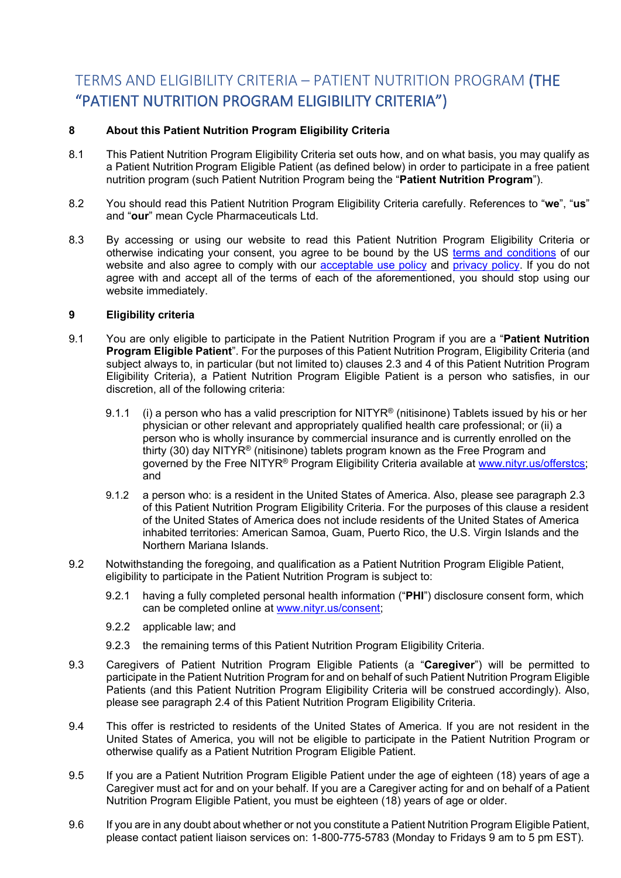# <span id="page-4-0"></span>TERMS AND ELIGIBILITY CRITERIA – PATIENT NUTRITION PROGRAM (THE "PATIENT NUTRITION PROGRAM ELIGIBILITY CRITERIA")

# <span id="page-4-1"></span>**8 About this Patient Nutrition Program Eligibility Criteria**

- 8.1 This Patient Nutrition Program Eligibility Criteria set outs how, and on what basis, you may qualify as a Patient Nutrition Program Eligible Patient (as defined below) in order to participate in a free patient nutrition program (such Patient Nutrition Program being the "**Patient Nutrition Program**").
- 8.2 You should read this Patient Nutrition Program Eligibility Criteria carefully. References to "**we**", "**us**" and "**our**" mean Cycle Pharmaceuticals Ltd.
- 8.3 By accessing or using our website to read this Patient Nutrition Program Eligibility Criteria or otherwise indicating your consent, you agree to be bound by the US [terms and conditions](https://www.cyclepharma/policies) of our website and also agree to comply with our **acceptable use policy** and **privacy policy**. If you do not agree with and accept all of the terms of each of the aforementioned, you should stop using our website immediately.

# <span id="page-4-2"></span>**9 Eligibility criteria**

- 9.1 You are only eligible to participate in the Patient Nutrition Program if you are a "**Patient Nutrition Program Eligible Patient**". For the purposes of this Patient Nutrition Program, Eligibility Criteria (and subject always to, in particular (but not limited to) clauses 2.3 and 4 of this Patient Nutrition Program Eligibility Criteria), a Patient Nutrition Program Eligible Patient is a person who satisfies, in our discretion, all of the following criteria:
	- 9.1.1 (i) a person who has a valid prescription for NITYR<sup>®</sup> (nitisinone) Tablets issued by his or her physician or other relevant and appropriately qualified health care professional; or (ii) a person who is wholly insurance by commercial insurance and is currently enrolled on the thirty (30) day NITYR<sup>®</sup> (nitisinone) tablets program known as the Free Program and governed by the Free NITYR® Program Eligibility Criteria available at [www.nityr.us/offerstcs;](http://www.nityr.us/offerstcs) and
	- 9.1.2 a person who: is a resident in the United States of America. Also, please see paragraph 2.3 of this Patient Nutrition Program Eligibility Criteria. For the purposes of this clause a resident of the United States of America does not include residents of the United States of America inhabited territories: American Samoa, Guam, Puerto Rico, the U.S. Virgin Islands and the Northern Mariana Islands.
- 9.2 Notwithstanding the foregoing, and qualification as a Patient Nutrition Program Eligible Patient, eligibility to participate in the Patient Nutrition Program is subject to:
	- 9.2.1 having a fully completed personal health information ("**PHI**") disclosure consent form, which can be completed online at [www.nityr.us/consent;](http://www.nityr.us/consent)
	- 9.2.2 applicable law; and
	- 9.2.3 the remaining terms of this Patient Nutrition Program Eligibility Criteria.
- 9.3 Caregivers of Patient Nutrition Program Eligible Patients (a "**Caregiver**") will be permitted to participate in the Patient Nutrition Program for and on behalf of such Patient Nutrition Program Eligible Patients (and this Patient Nutrition Program Eligibility Criteria will be construed accordingly). Also, please see paragraph 2.4 of this Patient Nutrition Program Eligibility Criteria.
- 9.4 This offer is restricted to residents of the United States of America. If you are not resident in the United States of America, you will not be eligible to participate in the Patient Nutrition Program or otherwise qualify as a Patient Nutrition Program Eligible Patient.
- 9.5 If you are a Patient Nutrition Program Eligible Patient under the age of eighteen (18) years of age a Caregiver must act for and on your behalf. If you are a Caregiver acting for and on behalf of a Patient Nutrition Program Eligible Patient, you must be eighteen (18) years of age or older.
- 9.6 If you are in any doubt about whether or not you constitute a Patient Nutrition Program Eligible Patient, please contact patient liaison services on: 1-800-775-5783 (Monday to Fridays 9 am to 5 pm EST).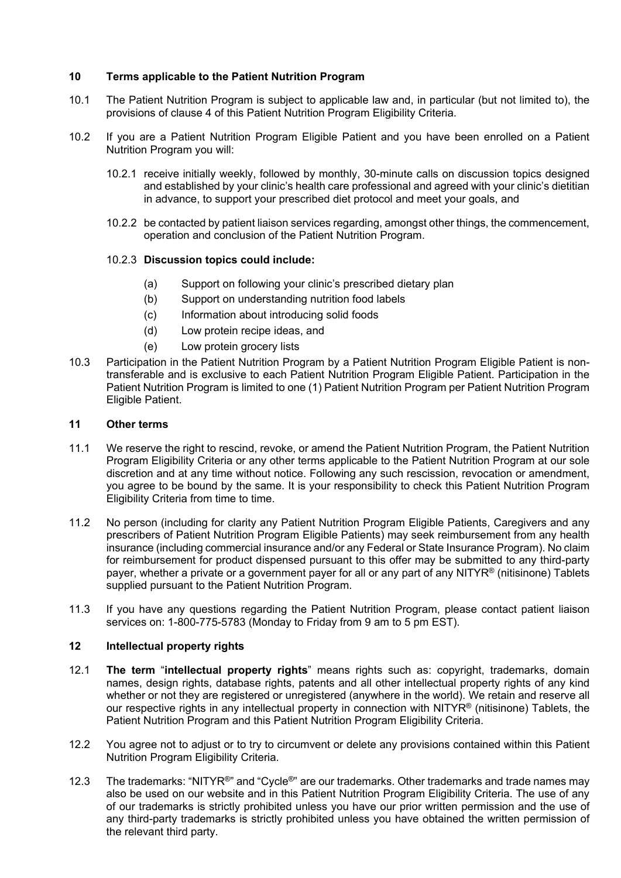# <span id="page-5-0"></span>**10 Terms applicable to the Patient Nutrition Program**

- 10.1 The Patient Nutrition Program is subject to applicable law and, in particular (but not limited to), the provisions of clause 4 of this Patient Nutrition Program Eligibility Criteria.
- 10.2 If you are a Patient Nutrition Program Eligible Patient and you have been enrolled on a Patient Nutrition Program you will:
	- 10.2.1 receive initially weekly, followed by monthly, 30-minute calls on discussion topics designed and established by your clinic's health care professional and agreed with your clinic's dietitian in advance, to support your prescribed diet protocol and meet your goals, and
	- 10.2.2 be contacted by patient liaison services regarding, amongst other things, the commencement, operation and conclusion of the Patient Nutrition Program.

#### 10.2.3 **Discussion topics could include:**

- (a) Support on following your clinic's prescribed dietary plan
- (b) Support on understanding nutrition food labels
- (c) Information about introducing solid foods
- (d) Low protein recipe ideas, and
- (e) Low protein grocery lists
- 10.3 Participation in the Patient Nutrition Program by a Patient Nutrition Program Eligible Patient is nontransferable and is exclusive to each Patient Nutrition Program Eligible Patient. Participation in the Patient Nutrition Program is limited to one (1) Patient Nutrition Program per Patient Nutrition Program Eligible Patient.

#### <span id="page-5-1"></span>**11 Other terms**

- 11.1 We reserve the right to rescind, revoke, or amend the Patient Nutrition Program, the Patient Nutrition Program Eligibility Criteria or any other terms applicable to the Patient Nutrition Program at our sole discretion and at any time without notice. Following any such rescission, revocation or amendment, you agree to be bound by the same. It is your responsibility to check this Patient Nutrition Program Eligibility Criteria from time to time.
- 11.2 No person (including for clarity any Patient Nutrition Program Eligible Patients, Caregivers and any prescribers of Patient Nutrition Program Eligible Patients) may seek reimbursement from any health insurance (including commercial insurance and/or any Federal or State Insurance Program). No claim for reimbursement for product dispensed pursuant to this offer may be submitted to any third-party payer, whether a private or a government payer for all or any part of any NITYR® (nitisinone) Tablets supplied pursuant to the Patient Nutrition Program.
- 11.3 If you have any questions regarding the Patient Nutrition Program, please contact patient liaison services on: 1-800-775-5783 (Monday to Friday from 9 am to 5 pm EST).

#### <span id="page-5-2"></span>**12 Intellectual property rights**

- 12.1 **The term** "**intellectual property rights**" means rights such as: copyright, trademarks, domain names, design rights, database rights, patents and all other intellectual property rights of any kind whether or not they are registered or unregistered (anywhere in the world). We retain and reserve all our respective rights in any intellectual property in connection with NITYR® (nitisinone) Tablets, the Patient Nutrition Program and this Patient Nutrition Program Eligibility Criteria.
- 12.2 You agree not to adjust or to try to circumvent or delete any provisions contained within this Patient Nutrition Program Eligibility Criteria.
- 12.3 The trademarks: "NITYR<sup>®</sup>" and "Cycle®" are our trademarks. Other trademarks and trade names may also be used on our website and in this Patient Nutrition Program Eligibility Criteria. The use of any of our trademarks is strictly prohibited unless you have our prior written permission and the use of any third-party trademarks is strictly prohibited unless you have obtained the written permission of the relevant third party.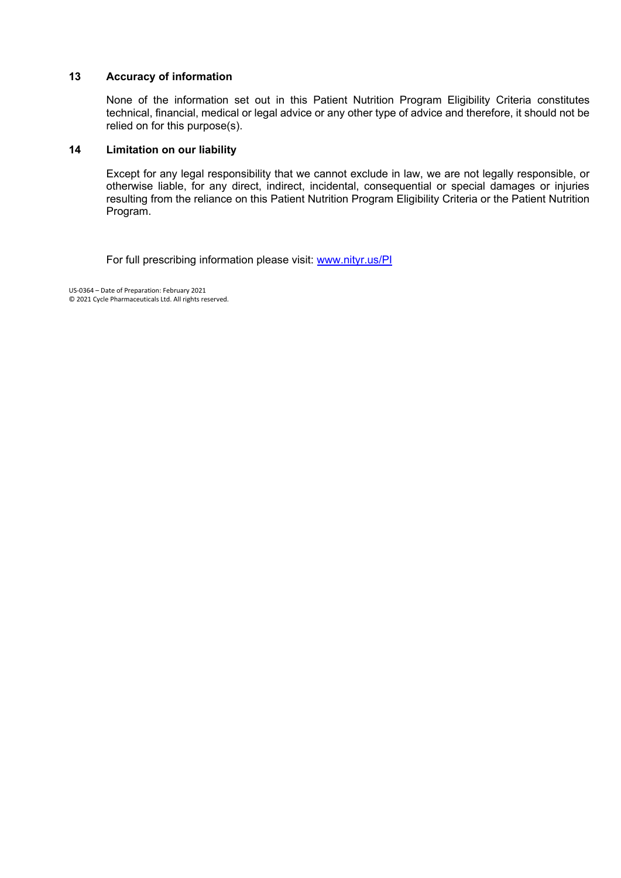#### <span id="page-6-0"></span>**13 Accuracy of information**

None of the information set out in this Patient Nutrition Program Eligibility Criteria constitutes technical, financial, medical or legal advice or any other type of advice and therefore, it should not be relied on for this purpose(s).

#### <span id="page-6-1"></span>**14 Limitation on our liability**

Except for any legal responsibility that we cannot exclude in law, we are not legally responsible, or otherwise liable, for any direct, indirect, incidental, consequential or special damages or injuries resulting from the reliance on this Patient Nutrition Program Eligibility Criteria or the Patient Nutrition Program.

For full prescribing information please visit: [www.nityr.us/PI](http://www.nityr.us/PI)

US-0364 – Date of Preparation: February 2021 © 2021 Cycle Pharmaceuticals Ltd. All rights reserved.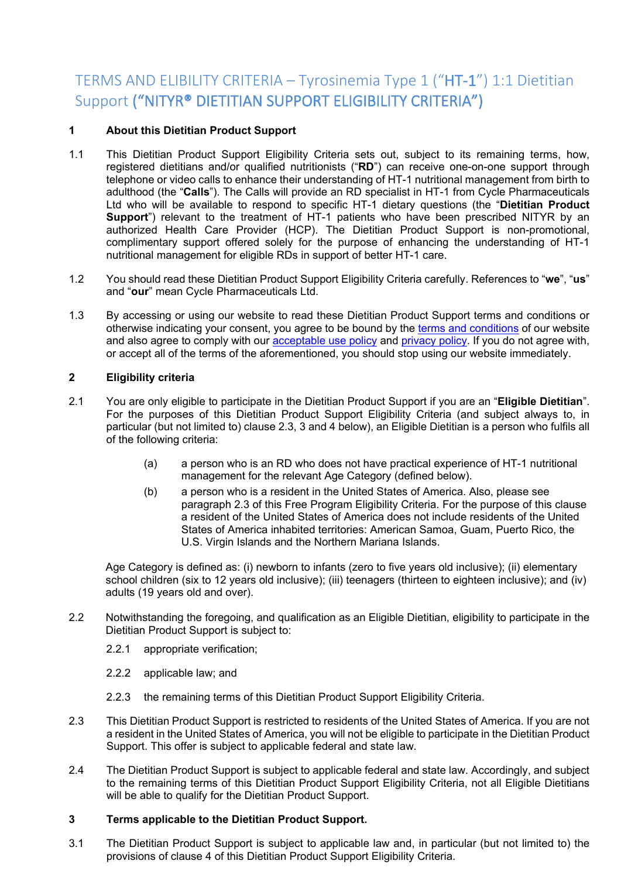# <span id="page-7-0"></span>TERMS AND ELIBILITY CRITERIA – Tyrosinemia Type 1 ("HT-1") 1:1 Dietitian Support ("NITYR® DIETITIAN SUPPORT ELIGIBILITY CRITERIA")

# <span id="page-7-1"></span>**1 About this Dietitian Product Support**

- 1.1 This Dietitian Product Support Eligibility Criteria sets out, subject to its remaining terms, how, registered dietitians and/or qualified nutritionists ("**RD**") can receive one-on-one support through telephone or video calls to enhance their understanding of HT-1 nutritional management from birth to adulthood (the "**Calls**"). The Calls will provide an RD specialist in HT-1 from Cycle Pharmaceuticals Ltd who will be available to respond to specific HT-1 dietary questions (the "**Dietitian Product Support**") relevant to the treatment of HT-1 patients who have been prescribed NITYR by an authorized Health Care Provider (HCP). The Dietitian Product Support is non-promotional, complimentary support offered solely for the purpose of enhancing the understanding of HT-1 nutritional management for eligible RDs in support of better HT-1 care.
- 1.2 You should read these Dietitian Product Support Eligibility Criteria carefully. References to "**we**", "**us**" and "**our**" mean Cycle Pharmaceuticals Ltd.
- 1.3 By accessing or using our website to read these Dietitian Product Support terms and conditions or otherwise indicating your consent, you agree to be bound by the [terms and conditions](https://www.cyclepharma.com/policies) of our website and also agree to comply with our **acceptable use policy** and [privacy policy.](https://cyclepharma.com/policies) If you do not agree with, or accept all of the terms of the aforementioned, you should stop using our website immediately.

# <span id="page-7-2"></span>**2 Eligibility criteria**

- 2.1 You are only eligible to participate in the Dietitian Product Support if you are an "**Eligible Dietitian**". For the purposes of this Dietitian Product Support Eligibility Criteria (and subject always to, in particular (but not limited to) clause 2.3, 3 and 4 below), an Eligible Dietitian is a person who fulfils all of the following criteria:
	- (a) a person who is an RD who does not have practical experience of HT-1 nutritional management for the relevant Age Category (defined below).
	- (b) a person who is a resident in the United States of America. Also, please see paragraph 2.3 of this Free Program Eligibility Criteria. For the purpose of this clause a resident of the United States of America does not include residents of the United States of America inhabited territories: American Samoa, Guam, Puerto Rico, the U.S. Virgin Islands and the Northern Mariana Islands.

Age Category is defined as: (i) newborn to infants (zero to five years old inclusive); (ii) elementary school children (six to 12 years old inclusive); (iii) teenagers (thirteen to eighteen inclusive); and (iv) adults (19 years old and over).

- 2.2 Notwithstanding the foregoing, and qualification as an Eligible Dietitian, eligibility to participate in the Dietitian Product Support is subject to:
	- 2.2.1 appropriate verification;
	- 2.2.2 applicable law; and
	- 2.2.3 the remaining terms of this Dietitian Product Support Eligibility Criteria.
- 2.3 This Dietitian Product Support is restricted to residents of the United States of America. If you are not a resident in the United States of America, you will not be eligible to participate in the Dietitian Product Support. This offer is subject to applicable federal and state law.
- 2.4 The Dietitian Product Support is subject to applicable federal and state law. Accordingly, and subject to the remaining terms of this Dietitian Product Support Eligibility Criteria, not all Eligible Dietitians will be able to qualify for the Dietitian Product Support.

#### <span id="page-7-3"></span>**3 Terms applicable to the Dietitian Product Support.**

3.1 The Dietitian Product Support is subject to applicable law and, in particular (but not limited to) the provisions of clause 4 of this Dietitian Product Support Eligibility Criteria.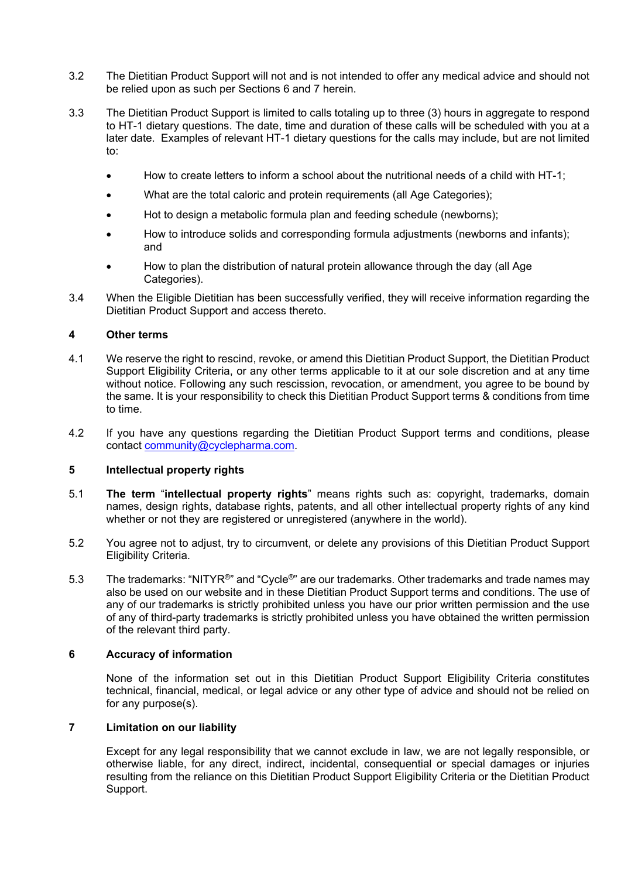- 3.2 The Dietitian Product Support will not and is not intended to offer any medical advice and should not be relied upon as such per Sections 6 and 7 herein.
- 3.3 The Dietitian Product Support is limited to calls totaling up to three (3) hours in aggregate to respond to HT-1 dietary questions. The date, time and duration of these calls will be scheduled with you at a later date. Examples of relevant HT-1 dietary questions for the calls may include, but are not limited to:
	- How to create letters to inform a school about the nutritional needs of a child with HT-1;
	- What are the total caloric and protein requirements (all Age Categories);
	- Hot to design a metabolic formula plan and feeding schedule (newborns);
	- How to introduce solids and corresponding formula adjustments (newborns and infants); and
	- How to plan the distribution of natural protein allowance through the day (all Age Categories).
- 3.4 When the Eligible Dietitian has been successfully verified, they will receive information regarding the Dietitian Product Support and access thereto.

#### <span id="page-8-0"></span>**4 Other terms**

- 4.1 We reserve the right to rescind, revoke, or amend this Dietitian Product Support, the Dietitian Product Support Eligibility Criteria, or any other terms applicable to it at our sole discretion and at any time without notice. Following any such rescission, revocation, or amendment, you agree to be bound by the same. It is your responsibility to check this Dietitian Product Support terms & conditions from time to time.
- 4.2 If you have any questions regarding the Dietitian Product Support terms and conditions, please contact [community@cyclepharma.com.](mailto:community@cyclepharma.com)

#### <span id="page-8-1"></span>**5 Intellectual property rights**

- 5.1 **The term** "**intellectual property rights**" means rights such as: copyright, trademarks, domain names, design rights, database rights, patents, and all other intellectual property rights of any kind whether or not they are registered or unregistered (anywhere in the world).
- 5.2 You agree not to adjust, try to circumvent, or delete any provisions of this Dietitian Product Support Eligibility Criteria.
- 5.3 The trademarks: "NITYR<sup>®</sup>" and "Cycle<sup>®</sup>" are our trademarks. Other trademarks and trade names may also be used on our website and in these Dietitian Product Support terms and conditions. The use of any of our trademarks is strictly prohibited unless you have our prior written permission and the use of any of third-party trademarks is strictly prohibited unless you have obtained the written permission of the relevant third party.

#### <span id="page-8-2"></span>**6 Accuracy of information**

None of the information set out in this Dietitian Product Support Eligibility Criteria constitutes technical, financial, medical, or legal advice or any other type of advice and should not be relied on for any purpose(s).

#### <span id="page-8-3"></span>**7 Limitation on our liability**

Except for any legal responsibility that we cannot exclude in law, we are not legally responsible, or otherwise liable, for any direct, indirect, incidental, consequential or special damages or injuries resulting from the reliance on this Dietitian Product Support Eligibility Criteria or the Dietitian Product Support.